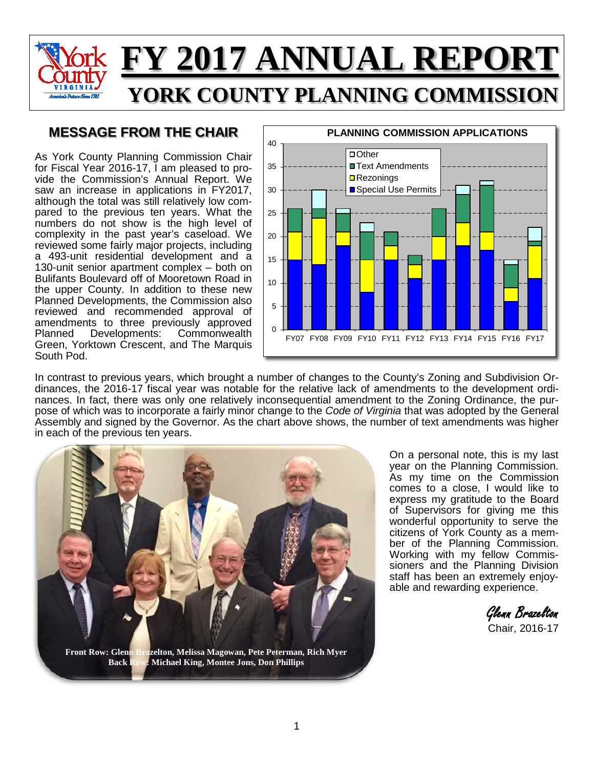

#### **MESSAGE FROM THE CHAIR**

As York County Planning Commission Chair for Fiscal Year 2016-17, I am pleased to provide the Commission's Annual Report. We saw an increase in applications in FY2017, although the total was still relatively low compared to the previous ten years. What the numbers do not show is the high level of complexity in the past year's caseload. We reviewed some fairly major projects, including a 493-unit residential development and a 130-unit senior apartment complex – both on Bulifants Boulevard off of Mooretown Road in the upper County. In addition to these new Planned Developments, the Commission also reviewed and recommended approval of amendments to three previously approved<br>Planned Developments: Commonwealth **Commonwealth** Green, Yorktown Crescent, and The Marquis South Pod.



In contrast to previous years, which brought a number of changes to the County's Zoning and Subdivision Ordinances, the 2016-17 fiscal year was notable for the relative lack of amendments to the development ordinances. In fact, there was only one relatively inconsequential amendment to the Zoning Ordinance, the purpose of which was to incorporate a fairly minor change to the *Code of Virginia* that was adopted by the General Assembly and signed by the Governor. As the chart above shows, the number of text amendments was higher in each of the previous ten years.



On a personal note, this is my last year on the Planning Commission. As my time on the Commission comes to a close, I would like to express my gratitude to the Board of Supervisors for giving me this wonderful opportunity to serve the citizens of York County as a member of the Planning Commission. Working with my fellow Commissioners and the Planning Division staff has been an extremely enjoyable and rewarding experience.

 Glenn Brazelton Chair, 2016-17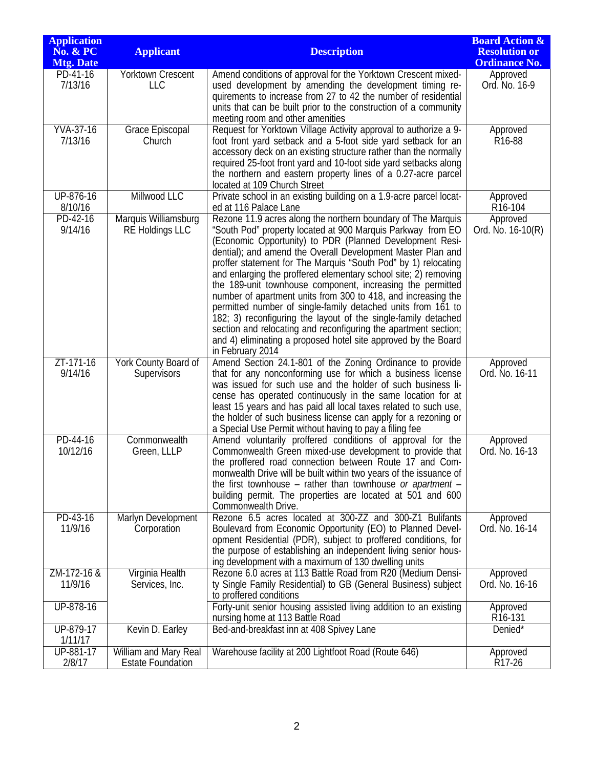| <b>Application</b><br><b>No. &amp; PC</b><br><b>Mtg. Date</b> | <b>Applicant</b>                                  | <b>Description</b>                                                                                                                                                                                                                                                                                                                                                                                                                                                                                                                                                                                                                                                                                                                                                                                                    | <b>Board Action &amp;</b><br><b>Resolution or</b><br><b>Ordinance No.</b> |
|---------------------------------------------------------------|---------------------------------------------------|-----------------------------------------------------------------------------------------------------------------------------------------------------------------------------------------------------------------------------------------------------------------------------------------------------------------------------------------------------------------------------------------------------------------------------------------------------------------------------------------------------------------------------------------------------------------------------------------------------------------------------------------------------------------------------------------------------------------------------------------------------------------------------------------------------------------------|---------------------------------------------------------------------------|
| PD-41-16<br>7/13/16                                           | Yorktown Crescent<br><b>LLC</b>                   | Amend conditions of approval for the Yorktown Crescent mixed-<br>used development by amending the development timing re-<br>quirements to increase from 27 to 42 the number of residential<br>units that can be built prior to the construction of a community<br>meeting room and other amenities                                                                                                                                                                                                                                                                                                                                                                                                                                                                                                                    | Approved<br>Ord. No. 16-9                                                 |
| <b>YVA-37-16</b><br>7/13/16                                   | Grace Episcopal<br>Church                         | Request for Yorktown Village Activity approval to authorize a 9-<br>foot front yard setback and a 5-foot side yard setback for an<br>accessory deck on an existing structure rather than the normally<br>required 25-foot front yard and 10-foot side yard setbacks along<br>the northern and eastern property lines of a 0.27-acre parcel<br>located at 109 Church Street                                                                                                                                                                                                                                                                                                                                                                                                                                            | Approved<br>R <sub>16</sub> -88                                           |
| UP-876-16<br>8/10/16                                          | Millwood LLC                                      | Private school in an existing building on a 1.9-acre parcel locat-<br>ed at 116 Palace Lane                                                                                                                                                                                                                                                                                                                                                                                                                                                                                                                                                                                                                                                                                                                           | Approved<br>R <sub>16</sub> -104                                          |
| PD-42-16<br>9/14/16                                           | Marquis Williamsburg<br><b>RE Holdings LLC</b>    | Rezone 11.9 acres along the northern boundary of The Marquis<br>"South Pod" property located at 900 Marquis Parkway from EO<br>(Economic Opportunity) to PDR (Planned Development Resi-<br>dential); and amend the Overall Development Master Plan and<br>proffer statement for The Marquis "South Pod" by 1) relocating<br>and enlarging the proffered elementary school site; 2) removing<br>the 189-unit townhouse component, increasing the permitted<br>number of apartment units from 300 to 418, and increasing the<br>permitted number of single-family detached units from 161 to<br>182; 3) reconfiguring the layout of the single-family detached<br>section and relocating and reconfiguring the apartment section;<br>and 4) eliminating a proposed hotel site approved by the Board<br>in February 2014 | Approved<br>Ord. No. 16-10(R)                                             |
| ZT-171-16<br>9/14/16                                          | York County Board of<br>Supervisors               | Amend Section 24.1-801 of the Zoning Ordinance to provide<br>that for any nonconforming use for which a business license<br>was issued for such use and the holder of such business li-<br>cense has operated continuously in the same location for at<br>least 15 years and has paid all local taxes related to such use,<br>the holder of such business license can apply for a rezoning or<br>a Special Use Permit without having to pay a filing fee                                                                                                                                                                                                                                                                                                                                                              | Approved<br>Ord. No. 16-11                                                |
| PD-44-16<br>10/12/16                                          | Commonwealth<br>Green, LLLP                       | Amend voluntarily proffered conditions of approval for the<br>Commonwealth Green mixed-use development to provide that<br>the proffered road connection between Route 17 and Com-<br>monwealth Drive will be built within two years of the issuance of<br>the first townhouse – rather than townhouse or apartment –<br>building permit. The properties are located at 501 and 600<br>Commonwealth Drive.                                                                                                                                                                                                                                                                                                                                                                                                             | Approved<br>Ord. No. 16-13                                                |
| PD-43-16<br>11/9/16                                           | Marlyn Development<br>Corporation                 | Rezone 6.5 acres located at 300-ZZ and 300-Z1 Bulifants<br>Boulevard from Economic Opportunity (EO) to Planned Devel-<br>opment Residential (PDR), subject to proffered conditions, for<br>the purpose of establishing an independent living senior hous-<br>ing development with a maximum of 130 dwelling units                                                                                                                                                                                                                                                                                                                                                                                                                                                                                                     | Approved<br>Ord. No. 16-14                                                |
| ZM-172-16 &<br>11/9/16                                        | Virginia Health<br>Services, Inc.                 | Rezone 6.0 acres at 113 Battle Road from R20 (Medium Densi-<br>ty Single Family Residential) to GB (General Business) subject<br>to proffered conditions                                                                                                                                                                                                                                                                                                                                                                                                                                                                                                                                                                                                                                                              | Approved<br>Ord. No. 16-16                                                |
| UP-878-16                                                     |                                                   | Forty-unit senior housing assisted living addition to an existing<br>nursing home at 113 Battle Road                                                                                                                                                                                                                                                                                                                                                                                                                                                                                                                                                                                                                                                                                                                  | Approved<br>R <sub>16</sub> -131                                          |
| UP-879-17<br>1/11/17                                          | Kevin D. Earley                                   | Bed-and-breakfast inn at 408 Spivey Lane                                                                                                                                                                                                                                                                                                                                                                                                                                                                                                                                                                                                                                                                                                                                                                              | Denied*                                                                   |
| UP-881-17<br>2/8/17                                           | William and Mary Real<br><b>Estate Foundation</b> | Warehouse facility at 200 Lightfoot Road (Route 646)                                                                                                                                                                                                                                                                                                                                                                                                                                                                                                                                                                                                                                                                                                                                                                  | Approved<br>R <sub>17</sub> -26                                           |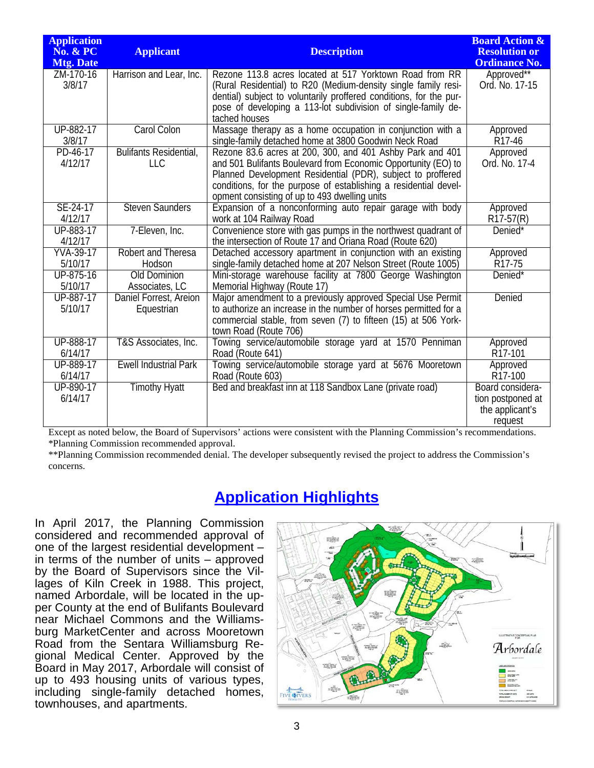| <b>Application</b><br><b>No. &amp; PC</b><br><b>Mtg. Date</b> | <b>Applicant</b>                            | <b>Description</b>                                                                                                                                                                                                                                                                                             | <b>Board Action &amp;</b><br><b>Resolution or</b><br><b>Ordinance No.</b> |
|---------------------------------------------------------------|---------------------------------------------|----------------------------------------------------------------------------------------------------------------------------------------------------------------------------------------------------------------------------------------------------------------------------------------------------------------|---------------------------------------------------------------------------|
| ZM-170-16<br>3/8/17                                           | Harrison and Lear, Inc.                     | Rezone 113.8 acres located at 517 Yorktown Road from RR<br>(Rural Residential) to R20 (Medium-density single family resi-<br>dential) subject to voluntarily proffered conditions, for the pur-<br>pose of developing a 113-lot subdivision of single-family de-<br>tached houses                              | Approved**<br>Ord. No. 17-15                                              |
| UP-882-17                                                     | Carol Colon                                 | Massage therapy as a home occupation in conjunction with a                                                                                                                                                                                                                                                     | Approved                                                                  |
| 3/8/17                                                        |                                             | single-family detached home at 3800 Goodwin Neck Road                                                                                                                                                                                                                                                          | R17-46                                                                    |
| PD-46-17<br>4/12/17                                           | <b>Bulifants Residential,</b><br><b>LLC</b> | Rezone 83.6 acres at 200, 300, and 401 Ashby Park and 401<br>and 501 Bulifants Boulevard from Economic Opportunity (EO) to<br>Planned Development Residential (PDR), subject to proffered<br>conditions, for the purpose of establishing a residential devel-<br>opment consisting of up to 493 dwelling units | Approved<br>Ord. No. 17-4                                                 |
| SE-24-17                                                      | <b>Steven Saunders</b>                      | Expansion of a nonconforming auto repair garage with body                                                                                                                                                                                                                                                      | Approved                                                                  |
| 4/12/17                                                       |                                             | work at 104 Railway Road                                                                                                                                                                                                                                                                                       | $R17-57(R)$                                                               |
| UP-883-17<br>4/12/17                                          | 7-Eleven, Inc.                              | Convenience store with gas pumps in the northwest quadrant of<br>the intersection of Route 17 and Oriana Road (Route 620)                                                                                                                                                                                      | Denied*                                                                   |
| <b>YVA-39-17</b>                                              | Robert and Theresa                          | Detached accessory apartment in conjunction with an existing                                                                                                                                                                                                                                                   | Approved                                                                  |
| 5/10/17                                                       | Hodson                                      | single-family detached home at 207 Nelson Street (Route 1005)                                                                                                                                                                                                                                                  | R17-75                                                                    |
| UP-875-16                                                     | <b>Old Dominion</b>                         | Mini-storage warehouse facility at 7800 George Washington                                                                                                                                                                                                                                                      | Denied*                                                                   |
| 5/10/17                                                       | Associates, LC                              | Memorial Highway (Route 17)                                                                                                                                                                                                                                                                                    |                                                                           |
| UP-887-17<br>5/10/17                                          | Daniel Forrest, Areion<br>Equestrian        | Major amendment to a previously approved Special Use Permit<br>to authorize an increase in the number of horses permitted for a<br>commercial stable, from seven (7) to fifteen (15) at 506 York-<br>town Road (Route 706)                                                                                     | Denied                                                                    |
| UP-888-17                                                     | T&S Associates, Inc.                        | Towing service/automobile storage yard at 1570 Penniman                                                                                                                                                                                                                                                        | Approved                                                                  |
| 6/14/17                                                       |                                             | Road (Route 641)                                                                                                                                                                                                                                                                                               | R <sub>17</sub> -101                                                      |
| UP-889-17                                                     | <b>Ewell Industrial Park</b>                | Towing service/automobile storage yard at 5676 Mooretown                                                                                                                                                                                                                                                       | Approved                                                                  |
| 6/14/17                                                       |                                             | Road (Route 603)                                                                                                                                                                                                                                                                                               | R <sub>17</sub> -100                                                      |
| UP-890-17<br>6/14/17                                          | <b>Timothy Hyatt</b>                        | Bed and breakfast inn at 118 Sandbox Lane (private road)                                                                                                                                                                                                                                                       | Board considera-<br>tion postponed at<br>the applicant's<br>request       |

Except as noted below, the Board of Supervisors' actions were consistent with the Planning Commission's recommendations. \*Planning Commission recommended approval.

\*\*Planning Commission recommended denial. The developer subsequently revised the project to address the Commission's concerns.

#### **Application Highlights**

In April 2017, the Planning Commission considered and recommended approval of one of the largest residential development – in terms of the number of units – approved by the Board of Supervisors since the Villages of Kiln Creek in 1988. This project, named Arbordale, will be located in the upper County at the end of Bulifants Boulevard near Michael Commons and the Williamsburg MarketCenter and across Mooretown Road from the Sentara Williamsburg Regional Medical Center. Approved by the Board in May 2017, Arbordale will consist of up to 493 housing units of various types, including single-family detached homes, townhouses, and apartments.

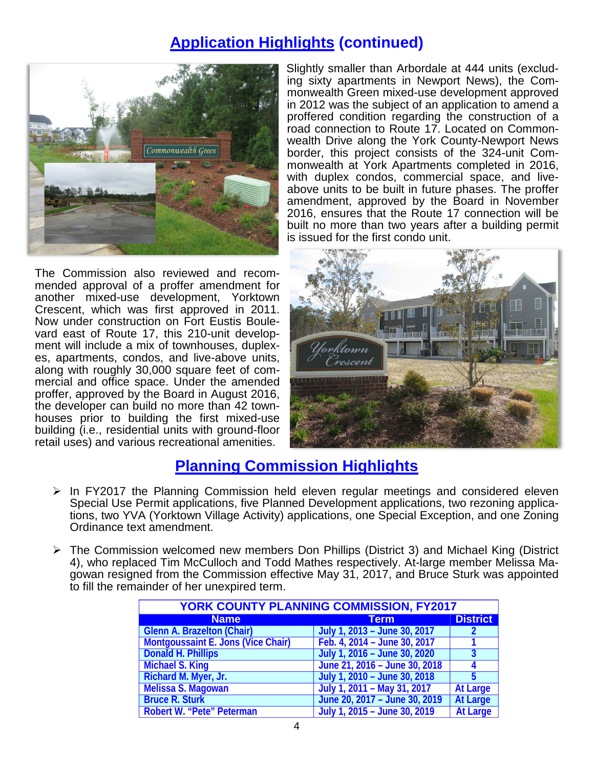### **Application Highlights (continued)**



The Commission also reviewed and recommended approval of a proffer amendment for another mixed-use development, Yorktown Crescent, which was first approved in 2011. Now under construction on Fort Eustis Boulevard east of Route 17, this 210-unit development will include a mix of townhouses, duplexes, apartments, condos, and live-above units, along with roughly 30,000 square feet of commercial and office space. Under the amended proffer, approved by the Board in August 2016, the developer can build no more than 42 townhouses prior to building the first mixed-use building (i.e., residential units with ground-floor retail uses) and various recreational amenities.

Slightly smaller than Arbordale at 444 units (excluding sixty apartments in Newport News), the Commonwealth Green mixed-use development approved in 2012 was the subject of an application to amend a proffered condition regarding the construction of a road connection to Route 17. Located on Commonwealth Drive along the York County-Newport News border, this project consists of the 324-unit Commonwealth at York Apartments completed in 2016, with duplex condos, commercial space, and liveabove units to be built in future phases. The proffer amendment, approved by the Board in November 2016, ensures that the Route 17 connection will be built no more than two years after a building permit is issued for the first condo unit.



#### **Planning Commission Highlights**

- $\ge$  In FY2017 the Planning Commission held eleven regular meetings and considered eleven Special Use Permit applications, five Planned Development applications, two rezoning applications, two YVA (Yorktown Village Activity) applications, one Special Exception, and one Zoning Ordinance text amendment.
- The Commission welcomed new members Don Phillips (District 3) and Michael King (District 4), who replaced Tim McCulloch and Todd Mathes respectively. At-large member Melissa Magowan resigned from the Commission effective May 31, 2017, and Bruce Sturk was appointed to fill the remainder of her unexpired term.

| <b>YORK COUNTY PLANNING COMMISSION, FY2017</b> |                               |                 |  |  |
|------------------------------------------------|-------------------------------|-----------------|--|--|
| <b>Name</b>                                    | <b>Term</b>                   | <b>District</b> |  |  |
| <b>Glenn A. Brazelton (Chair)</b>              | July 1, 2013 - June 30, 2017  |                 |  |  |
| <b>Montgoussaint E. Jons (Vice Chair)</b>      | Feb. 4, 2014 - June 30, 2017  |                 |  |  |
| <b>Donald H. Phillips</b>                      | July 1, 2016 - June 30, 2020  | 3               |  |  |
| <b>Michael S. King</b>                         | June 21, 2016 - June 30, 2018 |                 |  |  |
| Richard M. Myer, Jr.                           | July 1, 2010 - June 30, 2018  |                 |  |  |
| Melissa S. Magowan                             | July 1, 2011 - May 31, 2017   | <b>At Large</b> |  |  |
| <b>Bruce R. Sturk</b>                          | June 20, 2017 - June 30, 2019 | <b>At Large</b> |  |  |
| Robert W. "Pete" Peterman                      | July 1, 2015 - June 30, 2019  | <b>At Large</b> |  |  |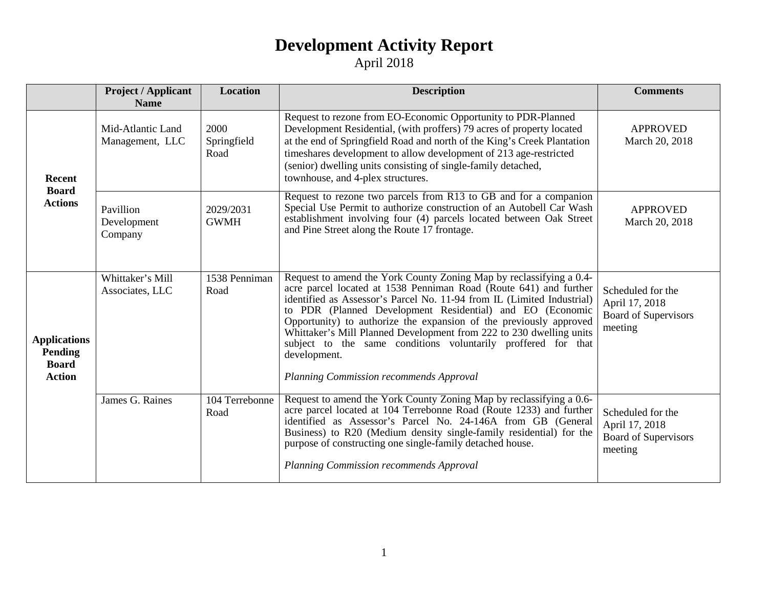### **Development Activity Report**

#### April 2018

|                                                                        | <b>Project / Applicant</b><br><b>Name</b> | <b>Location</b>             | <b>Description</b>                                                                                                                                                                                                                                                                                                                                                                                                                                                                                                                                       | <b>Comments</b>                                                               |
|------------------------------------------------------------------------|-------------------------------------------|-----------------------------|----------------------------------------------------------------------------------------------------------------------------------------------------------------------------------------------------------------------------------------------------------------------------------------------------------------------------------------------------------------------------------------------------------------------------------------------------------------------------------------------------------------------------------------------------------|-------------------------------------------------------------------------------|
| <b>Recent</b><br><b>Board</b><br><b>Actions</b>                        | Mid-Atlantic Land<br>Management, LLC      | 2000<br>Springfield<br>Road | Request to rezone from EO-Economic Opportunity to PDR-Planned<br>Development Residential, (with proffers) 79 acres of property located<br>at the end of Springfield Road and north of the King's Creek Plantation<br>timeshares development to allow development of 213 age-restricted<br>(senior) dwelling units consisting of single-family detached,<br>townhouse, and 4-plex structures.                                                                                                                                                             | <b>APPROVED</b><br>March 20, 2018                                             |
|                                                                        | Pavillion<br>Development<br>Company       | 2029/2031<br><b>GWMH</b>    | Request to rezone two parcels from R13 to $\overline{GB}$ and for a companion<br>Special Use Permit to authorize construction of an Autobell Car Wash<br>establishment involving four (4) parcels located between Oak Street<br>and Pine Street along the Route 17 frontage.                                                                                                                                                                                                                                                                             | <b>APPROVED</b><br>March 20, 2018                                             |
| <b>Applications</b><br><b>Pending</b><br><b>Board</b><br><b>Action</b> | Whittaker's Mill<br>Associates, LLC       | 1538 Penniman<br>Road       | Request to amend the York County Zoning Map by reclassifying a 0.4-<br>acre parcel located at 1538 Penniman Road (Route 641) and further<br>identified as Assessor's Parcel No. 11-94 from IL (Limited Industrial)<br>to PDR (Planned Development Residential) and EO (Economic<br>Opportunity) to authorize the expansion of the previously approved<br>Whittaker's Mill Planned Development from 222 to 230 dwelling units<br>subject to the same conditions voluntarily proffered for that<br>development.<br>Planning Commission recommends Approval | Scheduled for the<br>April 17, 2018<br><b>Board of Supervisors</b><br>meeting |
|                                                                        | James G. Raines                           | 104 Terrebonne<br>Road      | Request to amend the York County Zoning Map by reclassifying a 0.6-<br>acre parcel located at 104 Terrebonne Road (Route 1233) and further<br>identified as Assessor's Parcel No. 24-146A from GB (General<br>Business) to R20 (Medium density single-family residential) for the<br>purpose of constructing one single-family detached house.<br>Planning Commission recommends Approval                                                                                                                                                                | Scheduled for the<br>April 17, 2018<br><b>Board of Supervisors</b><br>meeting |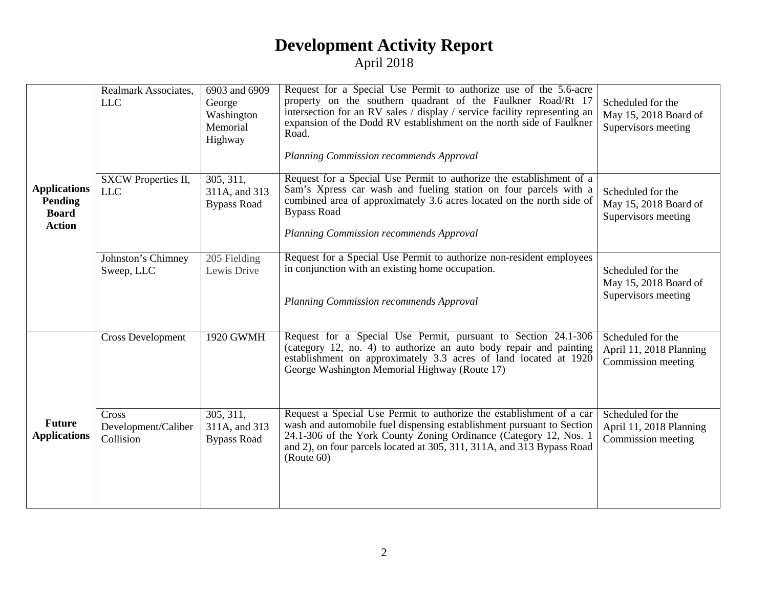### **Development Activity Report** April 2018

|                                                                 | Realmark Associates,<br><b>LLC</b>        | 6903 and 6909<br>George<br>Washington<br>Memorial<br>Highway | Request for a Special Use Permit to authorize use of the 5.6-acre<br>property on the southern quadrant of the Faulkner Road/Rt 17<br>intersection for an RV sales / display / service facility representing an<br>expansion of the Dodd RV establishment on the north side of Faulkner<br>Road.<br>Planning Commission recommends Approval | Scheduled for the<br>May 15, 2018 Board of<br>Supervisors meeting  |
|-----------------------------------------------------------------|-------------------------------------------|--------------------------------------------------------------|--------------------------------------------------------------------------------------------------------------------------------------------------------------------------------------------------------------------------------------------------------------------------------------------------------------------------------------------|--------------------------------------------------------------------|
| <b>Applications</b><br>Pending<br><b>Board</b><br><b>Action</b> | SXCW Properties II,<br><b>LLC</b>         | 305, 311,<br>311A, and 313<br><b>Bypass Road</b>             | Request for a Special Use Permit to authorize the establishment of a<br>Sam's Xpress car wash and fueling station on four parcels with a<br>combined area of approximately 3.6 acres located on the north side of<br><b>Bypass Road</b><br>Planning Commission recommends Approval                                                         | Scheduled for the<br>May 15, 2018 Board of<br>Supervisors meeting  |
|                                                                 | Johnston's Chimney<br>Sweep, LLC          | 205 Fielding<br>Lewis Drive                                  | Request for a Special Use Permit to authorize non-resident employees<br>in conjunction with an existing home occupation.<br>Planning Commission recommends Approval                                                                                                                                                                        | Scheduled for the<br>May 15, 2018 Board of<br>Supervisors meeting  |
|                                                                 | <b>Cross Development</b>                  | 1920 GWMH                                                    | Request for a Special Use Permit, pursuant to Section 24.1-306<br>(category 12, no. 4) to authorize an auto body repair and painting<br>establishment on approximately 3.3 acres of land located at 1920<br>George Washington Memorial Highway (Route 17)                                                                                  | Scheduled for the<br>April 11, 2018 Planning<br>Commission meeting |
| <b>Future</b><br><b>Applications</b>                            | Cross<br>Development/Caliber<br>Collision | 305, 311,<br>311A, and 313<br><b>Bypass Road</b>             | Request a Special Use Permit to authorize the establishment of a car<br>wash and automobile fuel dispensing establishment pursuant to Section<br>24.1-306 of the York County Zoning Ordinance (Category 12, Nos. 1<br>and 2), on four parcels located at 305, 311, 311A, and 313 Bypass Road<br>(Route 60)                                 | Scheduled for the<br>April 11, 2018 Planning<br>Commission meeting |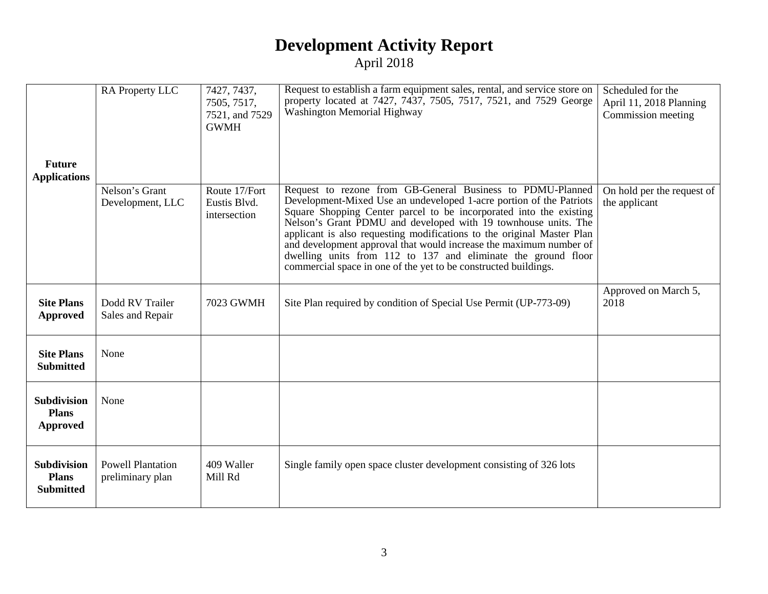### **Development Activity Report** April 2018

| <b>Future</b><br><b>Applications</b>                   | RA Property LLC                              | 7427, 7437,<br>7505, 7517,<br>7521, and 7529<br><b>GWMH</b> | Request to establish a farm equipment sales, rental, and service store on<br>property located at 7427, 7437, 7505, 7517, 7521, and 7529 George<br>Washington Memorial Highway                                                                                                                                                                                                                                                                                                                                                                                 | Scheduled for the<br>April 11, 2018 Planning<br>Commission meeting |
|--------------------------------------------------------|----------------------------------------------|-------------------------------------------------------------|---------------------------------------------------------------------------------------------------------------------------------------------------------------------------------------------------------------------------------------------------------------------------------------------------------------------------------------------------------------------------------------------------------------------------------------------------------------------------------------------------------------------------------------------------------------|--------------------------------------------------------------------|
|                                                        | Nelson's Grant<br>Development, LLC           | Route 17/Fort<br>Eustis Blvd.<br>intersection               | Request to rezone from GB-General Business to PDMU-Planned<br>Development-Mixed Use an undeveloped 1-acre portion of the Patriots<br>Square Shopping Center parcel to be incorporated into the existing<br>Nelson's Grant PDMU and developed with 19 townhouse units. The<br>applicant is also requesting modifications to the original Master Plan<br>and development approval that would increase the maximum number of<br>dwelling units from 112 to 137 and eliminate the ground floor<br>commercial space in one of the yet to be constructed buildings. | On hold per the request of<br>the applicant                        |
| <b>Site Plans</b><br>Approved                          | Dodd RV Trailer<br>Sales and Repair          | 7023 GWMH                                                   | Site Plan required by condition of Special Use Permit (UP-773-09)                                                                                                                                                                                                                                                                                                                                                                                                                                                                                             | Approved on March 5,<br>2018                                       |
| <b>Site Plans</b><br><b>Submitted</b>                  | None                                         |                                                             |                                                                                                                                                                                                                                                                                                                                                                                                                                                                                                                                                               |                                                                    |
| <b>Subdivision</b><br><b>Plans</b><br>Approved         | None                                         |                                                             |                                                                                                                                                                                                                                                                                                                                                                                                                                                                                                                                                               |                                                                    |
| <b>Subdivision</b><br><b>Plans</b><br><b>Submitted</b> | <b>Powell Plantation</b><br>preliminary plan | 409 Waller<br>Mill Rd                                       | Single family open space cluster development consisting of 326 lots                                                                                                                                                                                                                                                                                                                                                                                                                                                                                           |                                                                    |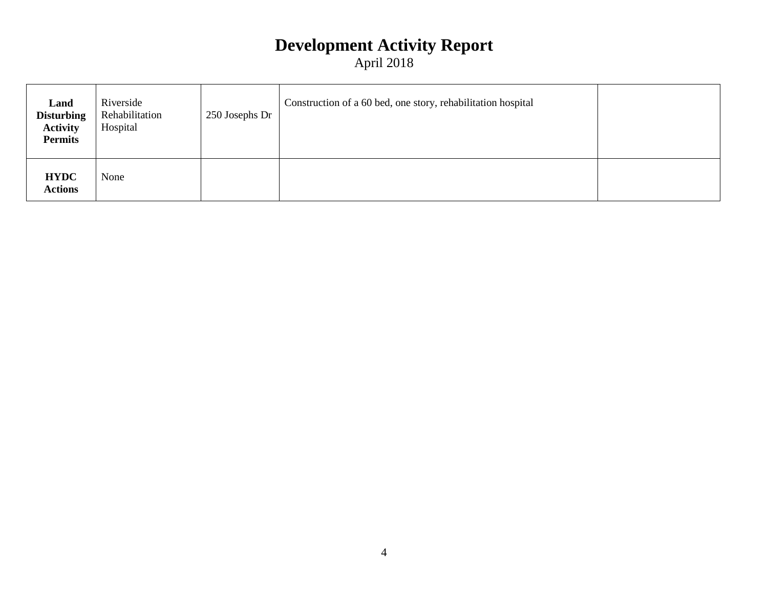# **Development Activity Report**

April 2018

| Land<br><b>Disturbing</b><br><b>Activity</b><br><b>Permits</b> | Riverside<br>Rehabilitation<br>Hospital | 250 Josephs Dr | Construction of a 60 bed, one story, rehabilitation hospital |  |
|----------------------------------------------------------------|-----------------------------------------|----------------|--------------------------------------------------------------|--|
| <b>HYDC</b><br><b>Actions</b>                                  | None                                    |                |                                                              |  |